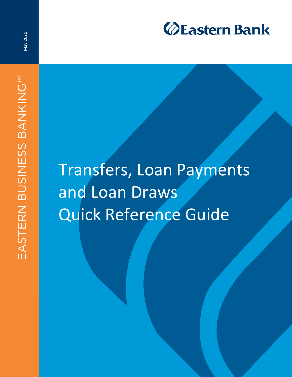

May 2020

## Transfers, Loan Payments and Loan Draws Quick Reference Guide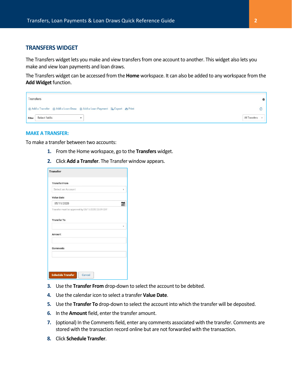## **TRANSFERS WIDGET**

The Transfers widget lets you make and view transfers from one account to another. This widget also lets you make and view loan payments and loan draws.

The Transfers widget can be accessed from the **Home** workspace. It can also be added to any workspace from the **Add Widget** function.

| Transfers                                                                | 券             |
|--------------------------------------------------------------------------|---------------|
| ⊕ Add a Transfer ⊕ Add a Loan Draw ⊕ Add a Loan Payment B Export A Print |               |
| Select fields<br>Filter                                                  | All Transfers |

## **MAKE A TRANSFER:**

To make a transfer between two accounts:

- **1.** From the Home workspace, go to the **Transfers** widget.
- **2.** Click **Add a Transfer**. The Transfer window appears.

| <b>Transfer From</b>                              |  |
|---------------------------------------------------|--|
|                                                   |  |
| Select an Account                                 |  |
| <b>Value Date</b>                                 |  |
| 05/11/2020                                        |  |
| Transfer must be approved by 05/11/2020 23:59 EDT |  |
|                                                   |  |
| <b>Transfer To</b>                                |  |
|                                                   |  |
|                                                   |  |
|                                                   |  |
|                                                   |  |
|                                                   |  |
|                                                   |  |
| Amount                                            |  |
| <b>Comments</b>                                   |  |
|                                                   |  |
|                                                   |  |
|                                                   |  |

- **3.** Use the **Transfer From** drop-down to select the account to be debited.
- **4.** Use the calendar icon to select a transfer **Value Date**.
- **5.** Use the **Transfer To** drop-down to select the account into which the transfer will be deposited.
- **6.** In the **Amount** field, enter the transfer amount.
- **7.** (optional) In the Comments field, enter any comments associated with the transfer. Comments are stored with the transaction record online but are not forwarded with the transaction.
- **8.** Click **Schedule Transfer**.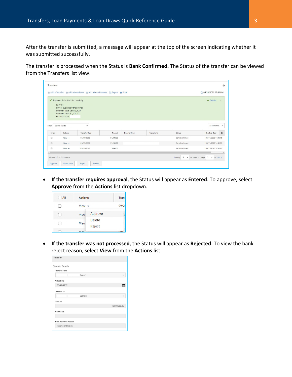After the transfer is submitted, a message will appear at the top of the screen indicating whether it was submitted successfully.

The transfer is processed when the Status is **Bank Confirmed.** The Status of the transfer can be viewed from the Transfers list view.

|                      | ✔ Payment Submitted Successfully           |                      |            |                      |                    |                       | $\triangle$ Details<br>$\times$ |
|----------------------|--------------------------------------------|----------------------|------------|----------------------|--------------------|-----------------------|---------------------------------|
|                      | ID: 4151                                   |                      |            |                      |                    |                       |                                 |
|                      | Payee: Business Stmt Savings               |                      |            |                      |                    |                       |                                 |
|                      | Payment Date: 05/11/2020                   |                      |            |                      |                    |                       |                                 |
|                      | Payment Total: \$1,000.00<br>From Account: |                      |            |                      |                    |                       |                                 |
|                      |                                            |                      |            |                      |                    |                       |                                 |
|                      |                                            |                      |            |                      |                    |                       |                                 |
| Filter               | Select fields                              | ۰                    |            |                      |                    |                       | All Transfers                   |
| AII                  | <b>Actions</b>                             | <b>Transfer Date</b> | Amount     | <b>Transfer From</b> | <b>Transfer To</b> | <b>Status</b>         | *<br><b>Creation Date</b>       |
|                      |                                            | 05/11/2020           | \$1,000.00 |                      |                    | <b>Bank Confirmed</b> | 05/11/2020 14:42:15             |
| $\qquad \qquad \Box$ | $View -$                                   |                      |            |                      |                    |                       |                                 |
| B                    | View $\rightarrow$                         | 05/11/2020           | \$1,200.00 |                      |                    | <b>Bank Confirmed</b> | 05/11/2020 14:40:53             |
| $\square$            | View $\blacktriangledown$                  | 05/11/2020           | \$500.00   |                      |                    | <b>Bank Confirmed</b> | 05/11/2020 14:40:07             |

 **If the transfer requires approval**, the Status will appear as **Entered**. To approve, select **Approve** from the **Actions** list dropdown.

| $\Box$ All | <b>Actions</b>                  | <b>Trans</b> |
|------------|---------------------------------|--------------|
|            | View $\blacktriangledown$       | 09/2         |
|            | Approve<br>View                 |              |
| Ħ          | <b>Delete</b><br>View<br>Reject |              |
|            | Viour                           | na           |

 **If the transfer was not processed**, the Status will appear as **Rejected**. To view the bank reject reason, select **View** from the **Actions** list.

| <b>Transfer</b>              |                   |               |
|------------------------------|-------------------|---------------|
| <b>Transfer Details</b>      |                   |               |
| <b>Transfer From</b>         |                   |               |
|                              | Demo 1            |               |
| Value Date                   |                   |               |
| 11/20/2019                   |                   |               |
| <b>Transfer To</b>           |                   |               |
|                              | Demo <sub>2</sub> |               |
| Amount                       |                   |               |
|                              |                   | 12,000,000.00 |
| Comments                     |                   |               |
|                              |                   |               |
| <b>Bank Rejection Reason</b> |                   |               |
| <b>Insufficient Funds</b>    |                   |               |